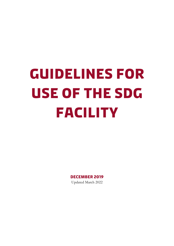# **Guidelines for use of the SDG Facility**

**December 2019** Updated March 2022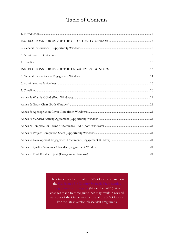## Table of Contents

<span id="page-1-0"></span>The Guidelines for use of the SDG facility is based on the Guidelines for (November 2020). Any changes made to these guidelines may result in revised versions of the Guidelines for use of the SDG facility. For the latest version please visit amg.um.dk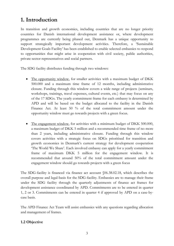## **1. Introduction**

In transition and growth economies, including countries that are no longer priority countries for Danish international development assistance or, where development programmes are currently being phased out, Denmark has a unique opportunity to support strategically important development activities. Therefore, a 'Sustainable Development Goals Facility' has been established to enable selected embassies to respond to opportunities that might arise in cooperation with civil society, public authorities, private sector representatives and social partners.

The SDG facility distributes funding through two windows:

- The opportunity window, for smaller activities with a maximum budget of DKK 500.000 and a maximum time frame of 12 months, including administrative closure. Funding through this window covers a wide range of projects (seminars, workshops, trainings, travel expenses, cultural events, etc.) that may focus on any of the 17 SDGs. The yearly commitment frame for each embassy is determined by APD and will be based on the budget allocated to the facility in the Danish Finance Act. At least 50 % of the total commitment amount under the opportunity window must go towards projects with a green focus.
- The engagement window, for activities with a minimum budget of DKK 500.000, a maximum budget of DKK 5 million and a recommended time frame of no more than 2 years, including administrative closure. Funding through this window covers activities with a strategic focus on SDGs prioritised for transition and growth economies in Denmark's current strategy for development cooperation 'The World We Share'. Each involved embassy can apply for a yearly commitment frame of maximum DKK 5 million for the engagement window. It is recommended that around 50% of the total commitment amount under the engagement window should go towards projects with a green focus

The SDG-facility is financed via finance act account §06.38.02.18, which describes the overall purpose and legal-basis for the SDG-facility. Embassies are to manage their frame under the SDG facility through the quarterly adjustments of finance act frames for development assistance coordinated by APD. Commitments are to be entered in quarter 1, 2 or 3. Commitments can be entered in quarter 4 if approved by APD on a case-bycase basis.

The APD Finance Act Team will assist embassies with any questions regarding allocation and management of frames.

## **1.2 Objective**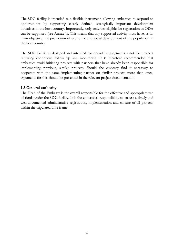The SDG facility is intended as a flexible instrument, allowing embassies to respond to opportunities by supporting clearly defined, strategically important development initiatives in the host country. Importantly, only activities eligible for registration as ODA can be supported (see Annex 1). This means that any supported activity must have, as its main objective, the promotion of economic and social development of the population in the host country.

The SDG facility is designed and intended for one-off engagements - not for projects requiring continuous follow up and monitoring. It is therefore recommended that embassies avoid initiating projects with partners that have already been responsible for implementing previous, similar projects. Should the embassy find it necessary to cooperate with the same implementing partner on similar projects more than once, arguments for this should be presented in the relevant project documentation.

## **1.3 General authority**

The Head of the Embassy is the overall responsible for the effective and appropriate use of funds under the SDG facility. It is the embassies' responsibility to ensure a timely and well-documented administrative registration, implementation and closure of all projects within the stipulated time frame.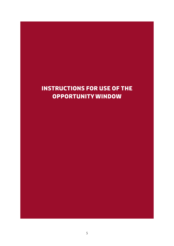# <span id="page-4-0"></span>**INSTRUCTIONS FOR USE OF THE OPPORTUNITY WINDOW**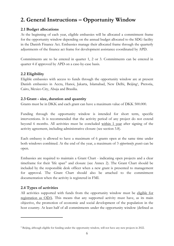## <span id="page-5-0"></span>**2. General Instructions – Opportunity Window**

## **2.1 Budget allocations**

At the beginning of each year, eligible embassies will be allocated a commitment frame for the opportunity window depending on the annual budget allocated to the SDG facility in the Danish Finance Act. Embassies manage their allocated frame through the quarterly adjustments of the finance act frame for development assistance coordinated by APD.

Commitments are to be entered in quarter 1, 2 or 3. Commitments can be entered in quarter 4 if approved by APD on a case-by-case basis.

## **2.2 Eligibility**

Eligible embassies with access to funds through the opportunity window are at present Danish embassies in Accra, Hanoi, Jakarta, Islamabad, New Delhi, Beijing<sup>1</sup>, Pretoria, Cairo, Mexico City, Abuja and Brasilia.

## **2.3 Grant - size, duration and quantity**

Grants must be in DKK and each grant can have a maximum value of DKK 500.000.

Funding through the opportunity window is intended for short term, specific interventions. It is recommended that the activity period of any project do not extend beyond 6 months. All activities must be concluded within 1 year after signing of the activity agreement, including administrative closure (see section 3.8).

Each embassy is allowed to have a maximum of 6 grants open at the same time under both windows combined. At the end of the year, a maximum of 3 *opportunity grants* can be open.

Embassies are required to maintain a Grant Chart - indicating open projects and a clear timeframe for their 'life span" and closure (see Annex 2). The Grant Chart should be included by the responsible desk officer when a new grant is presented to management for approval. The Grant Chart should also be attached to the commitment documentation when the activity is registered in FMI.

## **2.4 Types of activities**

1

All activities supported with funds from the opportunity window must be eligible for registration as ODA. This means that any supported activity must have, as its main objective, the promotion of economic and social development of the population in the host country. At least half of all commitments under the opportunity window (defined as

<sup>1</sup> Beijing, although eligible for funding under the opportunity window, will not have any new projects in 2022.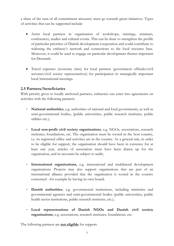a share of the sum of all commitment amounts) must go towards green initiatives. Types of activities that can be supported include:

- Assist local partners in organisation of workshops, trainings, seminars, conferences, studies and cultural events. This can be done to strengthen the profile of particular priorities of Danish development cooperation and could contribute to widening the embassy's network and connections to the local resource base. Moreover, it could be used to engage on particular development themes important for Denmark.
- Travel expenses (economy class) for local partners (government officials/civil servants/civil society representatives) for participation in strategically important local/international meetings.

## **2.5 Partners/beneficiaries**

With priority given to locally anchored partners, embassies can enter into agreements on activities with the following partners:

- **National authorities**, e.g. authorities of national and local governments, as well as semi-governmental bodies, (public universities, public research institutes, public utilities etc.);
- **Local non-profit civil society organisations**, e.g. NGOs, associations, research institutes, foundations, etc. The organisation must be rooted in the host country, i.e. its registered office and activities are in the country. As a general rule, in order to be eligible for support, the organisation should have been in existence for at least one year, articles of association must have been drawn up for the organisation, and its accounts be subject to audit;
- **International organisations,** e.g. international and multilateral development organisations. Projects may also support organisations that are part of an international alliance provided that the organisation is rooted in the country concerned - for example by having its own board;
- **Danish authorities**, e.g. governmental institutions, including ministries and governmental agencies and semi-governmental bodies (public universities, public health sector institutions, public research institutes, etc.);
- **Local representations of Danish NGOs and Danish civil society organisations**, e.g. associations, research institutes, foundations, etc.

The following partners are **not eligible** for support: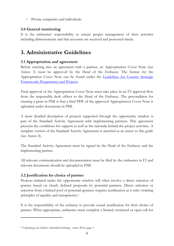- Private companies and individuals.

## **2.6 General monitoring**

It is the embassies' responsibility to ensure proper management of their activities including disbursements and that accounts are received and processed timely.

## <span id="page-7-0"></span>**3. Administrative Guidelines**

## **3.1 Appropriation and agreement**

Before entering into an agreement with a partner, an Appropriation Cover Note (see Annex 3) must be approved by the Head of the Embassy. The format for the Appropriation Cover Note can be found under the [Guidelines for Country Strategic](https://amg.um.dk/bilateral-cooperation/guidelines-for-country-strategic-frameworks-programmes-and-projects)  [Frameworks Programmes and Projects.](https://amg.um.dk/bilateral-cooperation/guidelines-for-country-strategic-frameworks-programmes-and-projects)

Final approval of the Appropriation Cover Note must take place in an F2 approval flow from the responsible desk officer to the Head of the Embassy. The precondition for creating a grant in PMI is that a final PDF of the approved Appropriation Cover Note is uploaded under documents in PMI.

A more detailed description of projects supported through the opportunity window is part of the Standard Activity Agreement with implementing partners. This agreement presents the conditions for support as well as the rationale behind the project activities. A template version of the Standard Activity Agreement is attached as an annex to this guide (see Annex 4).

The Standard Activity Agreement must be signed by the Head of the Embassy and the implementing partner.

All relevant communication and documentation must be filed by the embassies in F2 and relevant documents should be uploaded in PMI.

## **3.2 Justification for choice of partner**

Projects initiated under the opportunity window will often involve a direct selection of grantee based on clearly defined proposals by potential partners. Direct selection or selection from a limited pool of potential grantees requires justification as it risks violating principles of equality and transparency<sup>2</sup>.

It is the responsibility of the embassy to provide sound justification for their choice of partner. When appropriate, embassies must complete a limited, restricted or open call for

1

<sup>2</sup> Vejledning om effektiv tilskudsforvaltning - marts 2016, page 3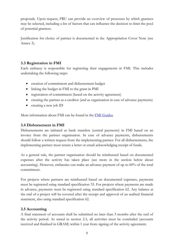proposals. Upon request, FRU can provide an overview of processes by which grantees may be selected, including a list of factors that can influence the decision to limit the pool of potential grantees.

Justification for choice of partner is documented in the Appropriation Cover Note (see Annex 3).

## **3.3 Registration in FMI**

Each embassy is responsible for registering their engagements in FMI. This includes undertaking the following steps:

- creation of commitment and disbursement budget
- linking the budget in FMI to the grant in PMI
- registration of commitment (based on the activity agreement)
- creating the partner as a creditor (and as organisation in case of advance payments)
- creating a new job ID

More information about FMI can be found in the [FMI Guides.](https://umbrella/Services/Development_Cooperation/FMI_Guides/Pages/default.aspx)

## **3.4 Disbursement in FMI**

Disbursements are initiated as bank transfers (central payments) in FMI based on an invoice from the partner organisation. In case of advance payments, disbursements should follow a written request from the implementing partner. For all disbursements, the implementing partner must return a letter or email acknowledging receipt of funds.

As a general rule, the partner organisation should be reimbursed based on documented expenses after the activity has taken place (see more in the section below about accounting). However, embassies can make an advance payment of up to 60% of the total commitment.

For projects where partners are reimbursed based on documented expenses, payments must be registered using standard specification 33. For projects where payments are made in advance, payments must be registered using standard specification 62. Any balance at the end of a project will be covered after the receipt and approval of an audited financial statement, also using standard specification 62.

## **3.5 Accounting**

A final statement of accounts shall be submitted no later than 3 months after the end of the activity period. As stated in section 2.3, all activities must be concluded (accounts received and finalised in GRAM) within 1 year from signing of the activity agreement.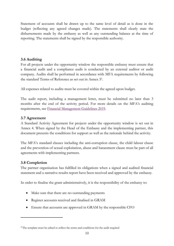Statement of accounts shall be drawn up to the same level of detail as is done in the budget (reflecting any agreed changes made). The statements shall clearly state the disbursements made by the embassy as well as any outstanding balance at the time of reporting. The statements shall be signed by the responsible authority.

## **3.6 Auditing**

For all projects under the opportunity window the responsible embassy must ensure that a financial audit and a compliance audit is conducted by an external auditor or audit company. Audits shall be performed in accordance with MFA requirements by following the standard Terms of Reference as set out in Annex 5 3 .

All expenses related to audits must be covered within the agreed upon budget.

The audit report, including a management letter, must be submitted no later than 3 months after the end of the activity period. For more details on the MFA's auditing requirements, see [Financial Management Guidelines 2019.](https://amg.um.dk/bilateral-cooperation/financial-management)

## **3.7 Agreement**

A Standard Activity Agreement for projects under the opportunity window is set out in Annex 4. When signed by the Head of the Embassy and the implementing partner, this document presents the conditions for support as well as the rationale behind the activity.

The MFA's standard clauses including the anti-corruption clause, the child labour clause and the prevention of sexual exploitation, abuse and harassment clause must be part of all agreements with implementing partners.

## **3.8 Completion**

1

The partner organisation has fulfilled its obligations when a signed and audited financial statement and a narrative results report have been received and approved by the embassy.

In order to finalise the grant administratively, it is the responsibility of the embassy to:

- Make sure that there are no outstanding payments
- Register accounts received and finalised in GRAM
- Ensure that accounts are approved in GRAM by the responsible CFO

<sup>&</sup>lt;sup>3</sup> The template must be edited to reflect the terms and conditions for the audit required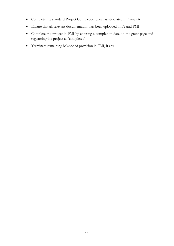- Complete the standard Project Completion Sheet as stipulated in Annex 6
- Ensure that all relevant documentation has been uploaded in F2 and PMI
- Complete the project in PMI by entering a completion date on the grant page and registering the project as 'completed'
- Terminate remaining balance of provision in FMI, if any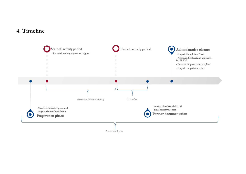## **4. Timeline**

<span id="page-11-0"></span>

Maximum 1 year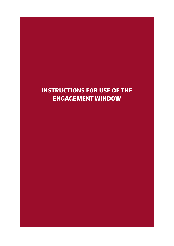# <span id="page-12-0"></span>**INSTRUCTIONS FOR USE OF THE ENGAGEMENT WINDOW**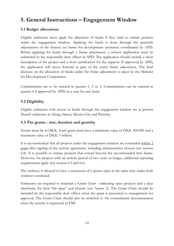## <span id="page-13-0"></span>**5. General Instructions – Engagement Window**

## **5.1 Budget allocations**

Eligible embassies must apply for allocation of funds if they wish to initiate projects under the engagement window. Applying for funds is done through the quarterly adjustments of the finance act frame for development assistance coordinated by APD. Before applying for funds through a frame adjustment, a written application must be submitted to the responsible desk officer in APD. The application should include a short description of the project and a short justification for the support. If approved by APD, the application will move forward as part of the entire frame adjustment. The final decision on the allocation of funds under the frame adjustment is taken by the Minister for Development Cooperation.

Commitments are to be entered in quarter 1, 2 or 3. Commitments can be entered in quarter 4 if approved by APD on a case-by-case basis.

## **5.2 Eligibility**

Eligible embassies with access to funds through the engagement window are at present Danish embassies in Abuja, Hanoi, Mexico City and Pretoria.

#### **5.3 The grants - size, duration and quantity**

Grants must be in DKK. Each grant must have a minimum value of DKK 500.000 and a maximum value of DKK 5 million.

It is recommended that all projects under the engagement window are concluded within 2 years after signing of the activity agreement, including administrative closure (see section 6.8). It is possible to initiate projects that extend beyond the recommended time frame. However, for projects with an activity period of two years or longer, additional reporting requirements apply (see section 6.5 and 6.6).

The embassy is allowed to have a maximum of 6 grants open at the same time under both windows combined.

Embassies are required to maintain a Grant Chart - indicating open projects and a clear timeframe for their 'life span" and closure (see Annex 2). The Grant Chart should be included by the responsible desk officer when the grant is presented to management for approval. The Grant Chart should also be attached to the commitment documentation when the activity is registered in FMI.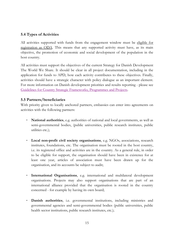## **5.4 Types of Activities**

All activities supported with funds from the engagement window must be eligible for registration as ODA. This means that any supported activity must have, as its main objective, the promotion of economic and social development of the population in the host country.

All activities must support the objectives of the current Strategy for Danish Development The World We Share. It should be clear in all project documentation, including in the application for funds to APD, how each activity contributes to these objectives. Finally, activities should have a strategic character with policy dialogue as an important element. For more information on Danish development priorities and results reporting - please see [Guidelines for Country Strategic Frameworks, Programmes and Projects.](https://amg.um.dk/bilateral-cooperation/guidelines-for-country-strategic-frameworks-programmes-and-projects)

#### **5.5 Partners/beneficiaries**

With priority given to locally anchored partners, embassies can enter into agreements on activities with the following partners:

- **National authorities**, e.g. authorities of national and local governments, as well as semi-governmental bodies, (public universities, public research institutes, public utilities etc.);
- **Local non-profit civil society organisations**, e.g. NGOs, associations, research institutes, foundations, etc. The organisation must be rooted in the host country, i.e. its registered office and activities are in the country. As a general rule, in order to be eligible for support, the organisation should have been in existence for at least one year, articles of association must have been drawn up for the organisation, and its accounts be subject to audit;
- **International Organisations**, e.g. international and multilateral development organisations. Projects may also support organisations that are part of an international alliance provided that the organisation is rooted in the country concerned - for example by having its own board;
- **Danish authorities**, i.e. governmental institutions, including ministries and governmental agencies and semi-governmental bodies (public universities, public health sector institutions, public research institutes, etc.);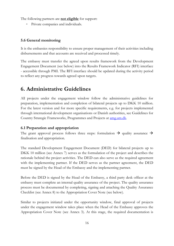The following partners are **not eligible** for support:

- Private companies and individuals.

#### **5.6 General monitoring**

It is the embassies responsibility to ensure proper management of their activities including disbursements and that accounts are received and processed timely.

The embassy must transfer the agreed upon results framework from the Development Engagement Document (see below) into the Results Framework Indicator (RFI) interface - accessible through PMI. The RFI interface should be updated during the activity period to reflect any progress towards agreed upon targets.

## <span id="page-15-0"></span>**6. Administrative Guidelines**

All projects under the engagement window follow the administrative guidelines for preparation, implementation and completion of bilateral projects up to DKK 10 million. For the latest version and for more specific requirements, e.g. for projects implemented through international development organisations or Danish authorities, see Guidelines for Country Strategic Frameworks, Programmes and Projects at [amg.um.dk.](https://amg.um.dk/bilateral-cooperation/guidelines-for-country-strategic-frameworks-programmes-and-projects)

## **6.1 Preparation and appropriation**

The grant approval process follows three steps: formulation  $\rightarrow$  quality assurance  $\rightarrow$ finalisation and appropriation.

The standard Development Engagement Document (DED) for bilateral projects up to DKK 10 million (see Annex 7) serves as the formulation of the project and describes the rationale behind the project activities. The DED can also serve as the required agreement with the implementing partner. If the DED serves as the partner agreement, the DED must be signed by the Head of the Embassy and the implementing partner.

Before the DED is signed by the Head of the Embassy, a third party desk officer at the embassy must complete an internal quality assurance of the project. The quality assurance process must be documented by completing, signing and attaching the Quality Assurance Checklist (see Annex 8) to the Appropriation Cover Note (see below).

Similar to projects initiated under the opportunity window, final approval of projects under the engagement window takes place when the Head of the Embassy approves the Appropriation Cover Note (see Annex 3). At this stage, the required documentation is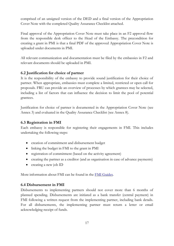comprised of an unsigned version of the DED and a final version of the Appropriation Cover Note with the completed Quality Assurance Checklist attached.

Final approval of the Appropriation Cover Note must take place in an F2 approval flow from the responsible desk officer to the Head of the Embassy. The precondition for creating a grant in PMI is that a final PDF of the approved Appropriation Cover Note is uploaded under documents in PMI.

All relevant communication and documentation must be filed by the embassies in F2 and relevant documents should be uploaded in PMI.

## **6.2 Justification for choice of partner**

It is the responsibility of the embassy to provide sound justification for their choice of partner. When appropriate, embassies must complete a limited, restricted or open call for proposals. FRU can provide an overview of processes by which grantees may be selected, including a list of factors that can influence the decision to limit the pool of potential grantees.

Justification for choice of partner is documented in the Appropriation Cover Note (see Annex 3) and evaluated in the Quality Assurance Checklist (see Annex 8).

## **6.3 Registration in FMI**

Each embassy is responsible for registering their engagements in FMI. This includes undertaking the following steps:

- creation of commitment and disbursement budget
- linking the budget in FMI to the grant in PMI
- registration of commitment (based on the activity agreement)
- creating the partner as a creditor (and as organisation in case of advance payments)
- creating a new job ID

More information about FMI can be found in the [FMI Guides.](https://umbrella/Services/Development_Cooperation/FMI_Guides/Pages/default.aspx)

#### **6.4 Disbursement in FMI**

Disbursements to implementing partners should not cover more than 6 months of planned spending. Disbursements are initiated as a bank transfer (central payment) in FMI following a written request from the implementing partner, including bank details. For all disbursements, the implementing partner must return a letter or email acknowledging receipt of funds.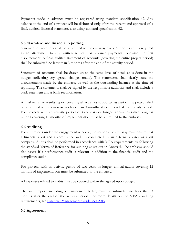Payments made in advance must be registered using standard specification 62. Any balance at the end of a project will be disbursed only after the receipt and approval of a final, audited financial statement, also using standard specification 62.

#### **6.5 Narrative and financial reporting**

Statement of accounts shall be submitted to the embassy every 6 months and is required as an attachment to any written request for advance payments following the first disbursement. A final, audited statement of accounts (covering the entire project period) shall be submitted no later than 3 months after the end of the activity period.

Statement of accounts shall be drawn up to the same level of detail as is done in the budget (reflecting any agreed changes made). The statements shall clearly state the disbursements made by the embassy as well as the outstanding balance at the time of reporting. The statements shall be signed by the responsible authority and shall include a bank statement and a bank reconciliation.

A final narrative results report covering all activities supported as part of the project shall be submitted to the embassy no later than 3 months after the end of the activity period. For projects with an activity period of two years or longer, annual narrative progress reports covering 12 months of implementation must be submitted to the embassy.

#### **6.6 Auditing**

For all projects under the engagement window, the responsible embassy must ensure that a financial audit and a compliance audit is conducted by an external auditor or audit company. Audits shall be performed in accordance with MFA requirements by following the standard Terms of Reference for auditing as set out in Annex 5. The embassy should also assess if a performance audit is relevant in addition to the financial audit and the compliance audit.

For projects with an activity period of two years or longer, annual audits covering 12 months of implementation must be submitted to the embassy.

All expenses related to audits must be covered within the agreed upon budget.

The audit report, including a management letter, must be submitted no later than 3 months after the end of the activity period. For more details on the MFA's auditing requirements, see [Financial Management Guidelines 2019.](https://amg.um.dk/bilateral-cooperation/financial-management)

## **6.7 Agreement**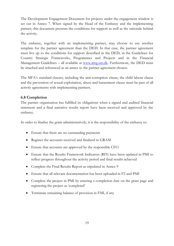The Development Engagement Document for projects under the engagement window is set out in Annex 7. When signed by the Head of the Embassy and the implementing partner, this document presents the conditions for support as well as the rationale behind the activity.

The embassy, together with an implementing partner, may choose to use another template for the partner agreement than the DED. In that case, the partner agreement must live up to the conditions for support described in the DED, in the Guidelines for Country Strategic Frameworks, Programmes and Projects and in the Financial Management Guidelines - all available at [www.amg.um.dk.](https://amg.um.dk/en/) Furthermore, the DED must be attached and referenced as an annex to the partner agreement chosen.

The MFA's standard clauses, including the anti-corruption clause, the child labour clause and the prevention of sexual exploitation, abuse and harassment clause must be part of all activity agreements with implementing partners.

## **6.8 Completion**

The partner organisation has fulfilled its obligations when a signed and audited financial statement and a final narrative results report have been received and approved by the embassy.

In order to finalise the grant administratively, it is the responsibility of the embassy to:

- Ensure that there are no outstanding payments
- Register the accounts received and finalised in GRAM
- Ensure that accounts are approved by the responsible CFO
- Ensure that the Results Framework Indicators (RFI) have been updated in PMI to reflect progress throughout the activity period and final results achieved
- Complete the Final Results Report as stipulated in Annex 9
- Ensure that all relevant documentation has been uploaded in F2 and PMI
- Complete the project in PMI by entering a completion date on the grant page and registering the project as 'completed'
- Terminate remaining balance of provision in FMI, if any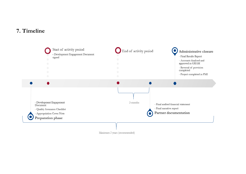## **7. Timeline**

<span id="page-19-0"></span>

Maximum 2 years (recommended)